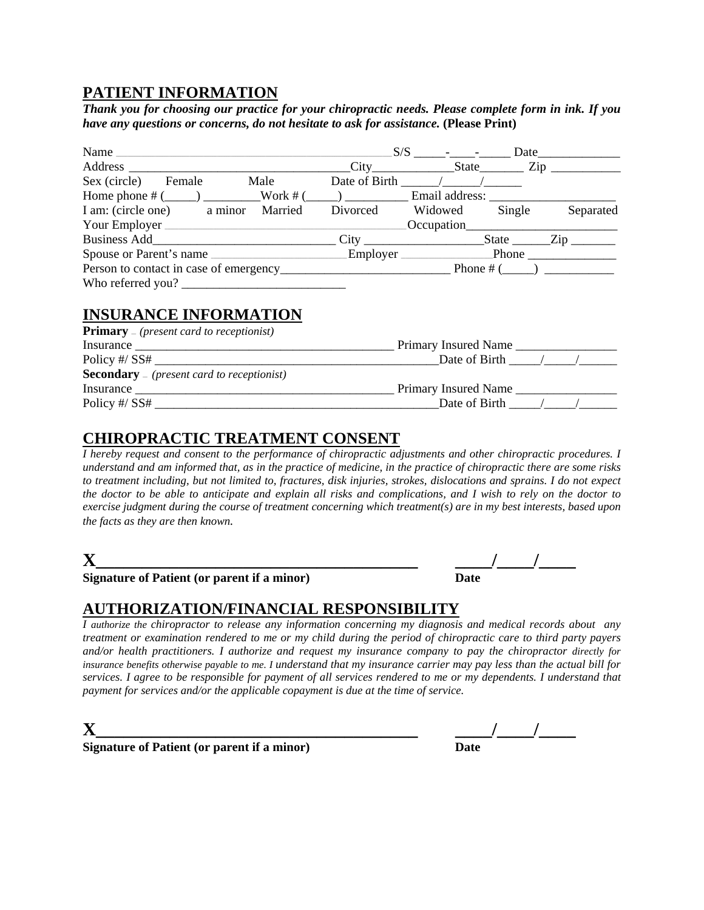## **PATIENT INFORMATION**

*Thank you for choosing our practice for your chiropractic needs. Please complete form in ink. If you have any questions or concerns, do not hesitate to ask for assistance.* **(Please Print)** 

| Name                                   |          | $S/S$ - -                                              | Date   |             |
|----------------------------------------|----------|--------------------------------------------------------|--------|-------------|
| Address                                |          | $\text{City}$ $\text{State}$ $\text{Zip}$ $\text{Zip}$ |        |             |
| Male<br>Sex (circle)<br>Female         |          | Date of Birth / /                                      |        |             |
|                                        |          |                                                        |        |             |
| I am: (circle one) a minor<br>Married  | Divorced | Widowed                                                | Single | Separated   |
| Your Employer                          |          | Occupation                                             |        |             |
|                                        |          | $\text{City}$ $\text{City}$                            |        |             |
| Spouse or Parent's name                |          | Employer                                               |        |             |
| Person to contact in case of emergency |          |                                                        |        | Phone # $($ |
|                                        |          |                                                        |        |             |

## **INSURANCE INFORMATION**

| <b>Primary</b> – ( <i>present card to receptionist</i> ) |                          |
|----------------------------------------------------------|--------------------------|
| Insurance                                                | Primary Insured Name     |
|                                                          | Date of Birth $\sqrt{2}$ |
| <b>Secondary</b> $=$ (present card to receptionist)      |                          |
| Insurance                                                | Primary Insured Name     |
| Policy #/ $SS#$                                          | Date of Birth            |

## **CHIROPRACTIC TREATMENT CONSENT**

*I hereby request and consent to the performance of chiropractic adjustments and other chiropractic procedures. I understand and am informed that, as in the practice of medicine, in the practice of chiropractic there are some risks to treatment including, but not limited to, fractures, disk injuries, strokes, dislocations and sprains. I do not expect the doctor to be able to anticipate and explain all risks and complications, and I wish to rely on the doctor to exercise judgment during the course of treatment concerning which treatment(s) are in my best interests, based upon the facts as they are then known.*

| ۹ |  |
|---|--|
|   |  |

| T7                                          |  |
|---------------------------------------------|--|
| Sionature of Patient (or narent if a minor) |  |

**Signature of Patient (or parent if a minor) Date** 

# **AUTHORIZATION/FINANCIAL RESPONSIBILITY**

*I authorize the chiropractor to release any information concerning my diagnosis and medical records about any treatment or examination rendered to me or my child during the period of chiropractic care to third party payers and/or health practitioners. I authorize and request my insurance company to pay the chiropractor directly for insurance benefits otherwise payable to me. I understand that my insurance carrier may pay less than the actual bill for services. I agree to be responsible for payment of all services rendered to me or my dependents. I understand that payment for services and/or the applicable copayment is due at the time of service.* 

**Signature of Patient (or parent if a minor)** 

**X\_\_\_\_\_\_\_\_\_\_\_\_\_\_\_\_\_\_\_\_\_\_\_\_\_\_\_\_\_\_\_\_\_\_\_ \_\_\_\_/\_\_\_\_/\_\_\_\_**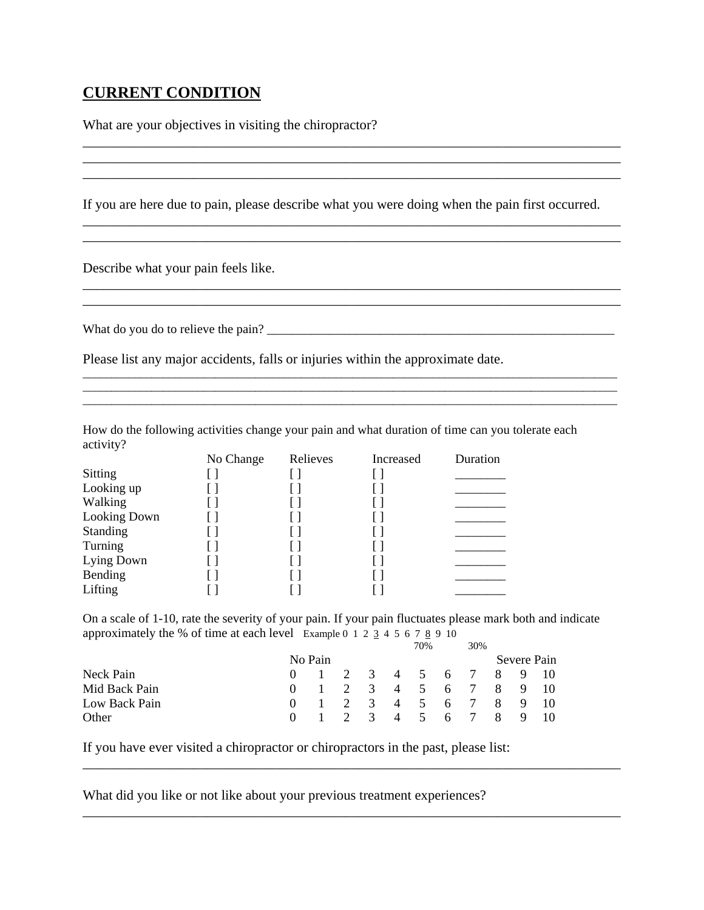## **CURRENT CONDITION**

What are your objectives in visiting the chiropractor?

If you are here due to pain, please describe what you were doing when the pain first occurred.

\_\_\_\_\_\_\_\_\_\_\_\_\_\_\_\_\_\_\_\_\_\_\_\_\_\_\_\_\_\_\_\_\_\_\_\_\_\_\_\_\_\_\_\_\_\_\_\_\_\_\_\_\_\_\_\_\_\_\_\_\_\_\_\_\_\_\_\_\_\_\_\_\_\_\_\_\_\_

\_\_\_\_\_\_\_\_\_\_\_\_\_\_\_\_\_\_\_\_\_\_\_\_\_\_\_\_\_\_\_\_\_\_\_\_\_\_\_\_\_\_\_\_\_\_\_\_\_\_\_\_\_\_\_\_\_\_\_\_\_\_\_\_\_\_\_\_\_\_\_\_\_\_\_\_\_\_

\_\_\_\_\_\_\_\_\_\_\_\_\_\_\_\_\_\_\_\_\_\_\_\_\_\_\_\_\_\_\_\_\_\_\_\_\_\_\_\_\_\_\_\_\_\_\_\_\_\_\_\_\_\_\_\_\_\_\_\_\_\_\_\_\_\_\_\_\_\_\_\_\_\_\_\_\_\_

\_\_\_\_\_\_\_\_\_\_\_\_\_\_\_\_\_\_\_\_\_\_\_\_\_\_\_\_\_\_\_\_\_\_\_\_\_\_\_\_\_\_\_\_\_\_\_\_\_\_\_\_\_\_\_\_\_\_\_\_\_\_\_\_\_\_\_\_\_\_\_\_\_\_\_\_\_\_

 $\_$  ,  $\_$  ,  $\_$  ,  $\_$  ,  $\_$  ,  $\_$  ,  $\_$  ,  $\_$  ,  $\_$  ,  $\_$  ,  $\_$  ,  $\_$  ,  $\_$  ,  $\_$  ,  $\_$  ,  $\_$  ,  $\_$  ,  $\_$  ,  $\_$  ,  $\_$  ,  $\_$  ,  $\_$  ,  $\_$  ,  $\_$  ,  $\_$  ,  $\_$  ,  $\_$  ,  $\_$  ,  $\_$  ,  $\_$  ,  $\_$  ,  $\_$  ,  $\_$  ,  $\_$  ,  $\_$  ,  $\_$  ,  $\_$  ,  $\overline{a}$  , and the contribution of the contribution of the contribution of the contribution of the contribution of the contribution of the contribution of the contribution of the contribution of the contribution of the co

Describe what your pain feels like.

What do you do to relieve the pain? \_\_\_\_\_\_\_\_\_\_\_\_\_\_\_\_\_\_\_\_\_\_\_\_\_\_\_\_\_\_\_\_\_\_\_\_\_\_\_\_\_\_\_\_\_\_\_\_\_\_\_\_\_\_\_

Please list any major accidents, falls or injuries within the approximate date.

How do the following activities change your pain and what duration of time can you tolerate each activity?

|                 | No Change | Relieves | Increased | Duration |
|-----------------|-----------|----------|-----------|----------|
| Sitting         |           |          |           |          |
| Looking up      |           |          |           |          |
| Walking         |           |          |           |          |
| Looking Down    |           |          |           |          |
| <b>Standing</b> |           |          |           |          |
| Turning         |           |          |           |          |
| Lying Down      |           |          |           |          |
| Bending         |           |          |           |          |
| Lifting         |           |          |           |          |

On a scale of 1-10, rate the severity of your pain. If your pain fluctuates please mark both and indicate approximately the % of time at each level Example  $0$  1 2  $\frac{2}{3}$  4 5 6 7  $\frac{8}{3}$  9 10

\_\_\_\_\_\_\_\_\_\_\_\_\_\_\_\_\_\_\_\_\_\_\_\_\_\_\_\_\_\_\_\_\_\_\_\_\_\_\_\_\_\_\_\_\_\_\_\_\_\_\_\_\_\_\_\_\_\_\_\_\_\_\_\_\_\_\_\_\_\_\_\_\_\_\_\_\_\_

\_\_\_\_\_\_\_\_\_\_\_\_\_\_\_\_\_\_\_\_\_\_\_\_\_\_\_\_\_\_\_\_\_\_\_\_\_\_\_\_\_\_\_\_\_\_\_\_\_\_\_\_\_\_\_\_\_\_\_\_\_\_\_\_\_\_\_\_\_\_\_\_\_\_\_\_\_\_

|               |         |  | 70% | 30%                    |  |             |
|---------------|---------|--|-----|------------------------|--|-------------|
|               | No Pain |  |     |                        |  | Severe Pain |
| Neck Pain     |         |  |     | 0 1 2 3 4 5 6 7 8 9 10 |  |             |
| Mid Back Pain |         |  |     | 0 1 2 3 4 5 6 7 8 9 10 |  |             |
| Low Back Pain |         |  |     | 0 1 2 3 4 5 6 7 8 9 10 |  |             |
| Other         |         |  |     | 1 2 3 4 5 6 7 8 9 10   |  |             |

If you have ever visited a chiropractor or chiropractors in the past, please list:

What did you like or not like about your previous treatment experiences?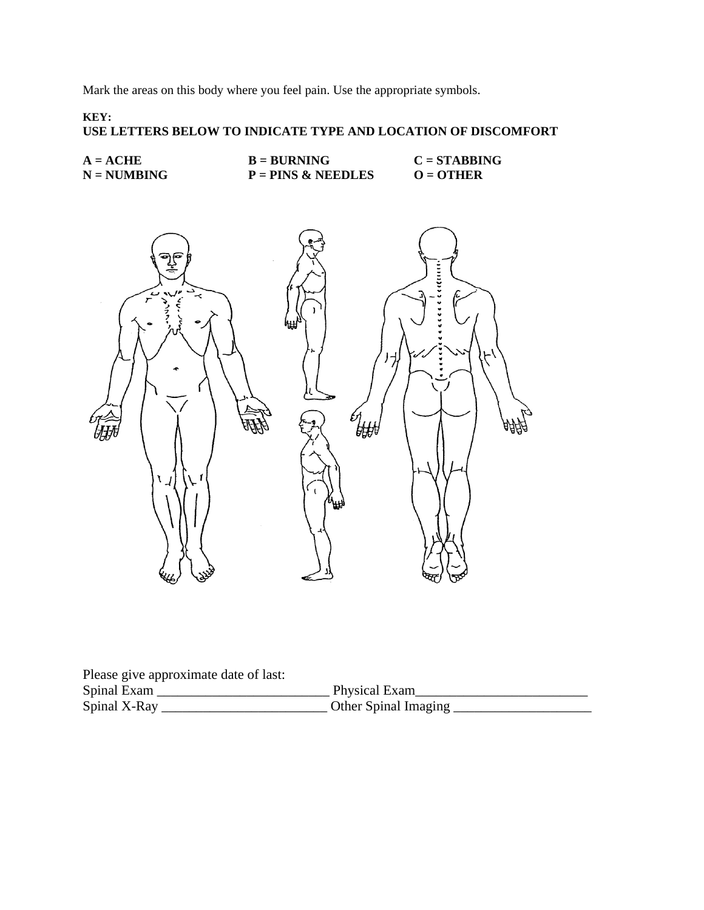Mark the areas on this body where you feel pain. Use the appropriate symbols.

#### **KEY: USE LETTERS BELOW TO INDICATE TYPE AND LOCATION OF DISCOMFORT**

| $A = ACHE$    | $B = BURNING$        | $C = STABBING$ |
|---------------|----------------------|----------------|
| $N = NUMBING$ | $P = PINS & NEEDLES$ | $Q = 0$ THER   |



Please give approximate date of last:

| Spinal Exam  | Physical Exam        |
|--------------|----------------------|
| Spinal X-Ray | Other Spinal Imaging |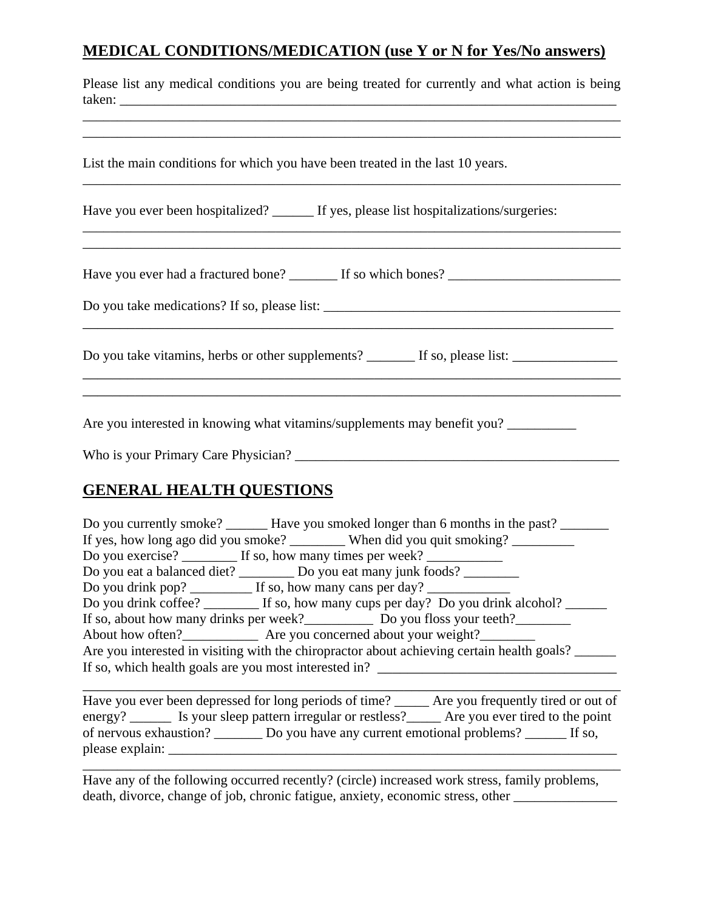## **MEDICAL CONDITIONS/MEDICATION (use Y or N for Yes/No answers)**

| Please list any medical conditions you are being treated for currently and what action is being<br>taken: |
|-----------------------------------------------------------------------------------------------------------|
| List the main conditions for which you have been treated in the last 10 years.                            |
| Have you ever been hospitalized? ______ If yes, please list hospitalizations/surgeries:                   |
|                                                                                                           |
| Do you take vitamins, herbs or other supplements? _______ If so, please list: _____________________       |
|                                                                                                           |

Are you interested in knowing what vitamins/supplements may benefit you? \_\_\_\_\_\_\_\_

Who is your Primary Care Physician? \_\_\_\_\_\_\_\_\_\_\_\_\_\_\_\_\_\_\_\_\_\_\_\_\_\_\_\_\_\_\_\_\_\_\_\_\_\_\_\_\_\_\_\_\_\_\_

# **GENERAL HEALTH QUESTIONS**

| Do you currently smoke? _______ Have you smoked longer than 6 months in the past? ______   |
|--------------------------------------------------------------------------------------------|
| If yes, how long ago did you smoke? __________ When did you quit smoking? ________         |
| Do you exercise? _________ If so, how many times per week? _____________________           |
| Do you eat a balanced diet? ___________ Do you eat many junk foods? ____________           |
|                                                                                            |
| Do you drink coffee? _________ If so, how many cups per day? Do you drink alcohol? ______  |
| If so, about how many drinks per week?<br><u>Do you floss</u> your teeth?                  |
| About how often? Are you concerned about your weight?                                      |
| Are you interested in visiting with the chiropractor about achieving certain health goals? |
| If so, which health goals are you most interested in?                                      |
|                                                                                            |

Have you ever been depressed for long periods of time? \_\_\_\_\_\_ Are you frequently tired or out of energy? \_\_\_\_\_\_\_ Is your sleep pattern irregular or restless? \_\_\_\_\_\_ Are you ever tired to the point of nervous exhaustion? \_\_\_\_\_\_\_ Do you have any current emotional problems? \_\_\_\_\_\_ If so, please explain: \_\_\_\_\_\_\_\_\_\_\_\_\_\_\_\_\_\_\_\_\_\_\_\_\_\_\_\_\_\_\_\_\_\_\_\_\_\_\_\_\_\_\_\_\_\_\_\_\_\_\_\_\_\_\_\_\_\_\_\_\_\_\_\_\_

\_\_\_\_\_\_\_\_\_\_\_\_\_\_\_\_\_\_\_\_\_\_\_\_\_\_\_\_\_\_\_\_\_\_\_\_\_\_\_\_\_\_\_\_\_\_\_\_\_\_\_\_\_\_\_\_\_\_\_\_\_\_\_\_\_\_\_\_\_\_\_\_\_\_\_\_\_\_

Have any of the following occurred recently? (circle) increased work stress, family problems, death, divorce, change of job, chronic fatigue, anxiety, economic stress, other \_\_\_\_\_\_\_\_\_\_\_\_\_\_\_\_\_\_\_\_\_\_\_\_\_\_\_\_\_\_